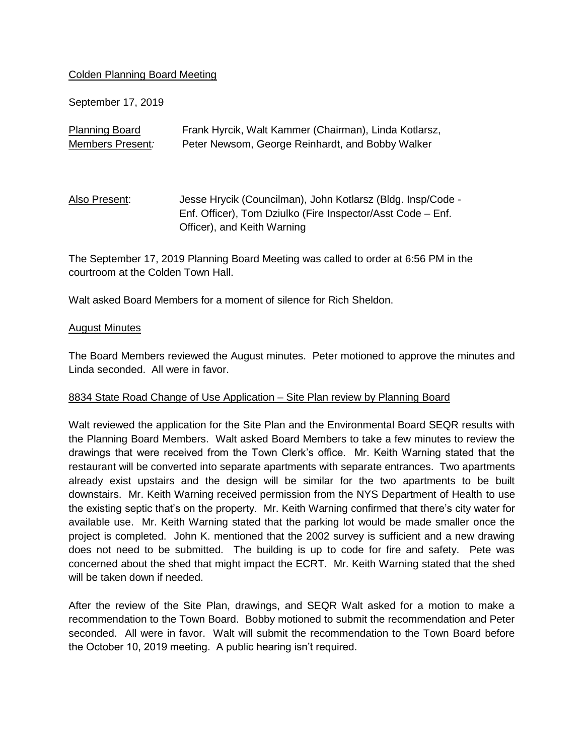## Colden Planning Board Meeting

September 17, 2019

| <b>Planning Board</b> | Frank Hyrcik, Walt Kammer (Chairman), Linda Kotlarsz,                                                                                                     |
|-----------------------|-----------------------------------------------------------------------------------------------------------------------------------------------------------|
| Members Present:      | Peter Newsom, George Reinhardt, and Bobby Walker                                                                                                          |
| Also Present:         | Jesse Hrycik (Councilman), John Kotlarsz (Bldg. Insp/Code -<br>Enf. Officer), Tom Dziulko (Fire Inspector/Asst Code – Enf.<br>Officer), and Keith Warning |

The September 17, 2019 Planning Board Meeting was called to order at 6:56 PM in the courtroom at the Colden Town Hall.

Walt asked Board Members for a moment of silence for Rich Sheldon.

#### August Minutes

The Board Members reviewed the August minutes. Peter motioned to approve the minutes and Linda seconded. All were in favor.

## 8834 State Road Change of Use Application – Site Plan review by Planning Board

Walt reviewed the application for the Site Plan and the Environmental Board SEQR results with the Planning Board Members. Walt asked Board Members to take a few minutes to review the drawings that were received from the Town Clerk's office. Mr. Keith Warning stated that the restaurant will be converted into separate apartments with separate entrances. Two apartments already exist upstairs and the design will be similar for the two apartments to be built downstairs. Mr. Keith Warning received permission from the NYS Department of Health to use the existing septic that's on the property. Mr. Keith Warning confirmed that there's city water for available use. Mr. Keith Warning stated that the parking lot would be made smaller once the project is completed. John K. mentioned that the 2002 survey is sufficient and a new drawing does not need to be submitted. The building is up to code for fire and safety. Pete was concerned about the shed that might impact the ECRT. Mr. Keith Warning stated that the shed will be taken down if needed.

After the review of the Site Plan, drawings, and SEQR Walt asked for a motion to make a recommendation to the Town Board. Bobby motioned to submit the recommendation and Peter seconded. All were in favor. Walt will submit the recommendation to the Town Board before the October 10, 2019 meeting. A public hearing isn't required.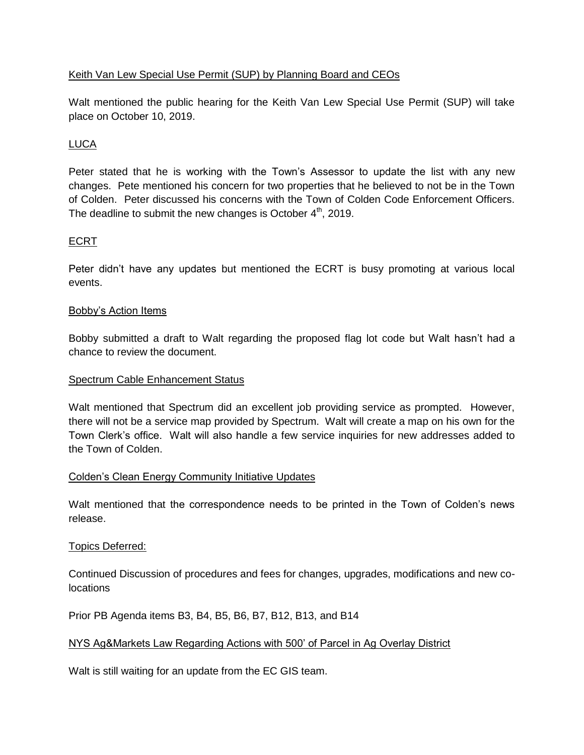# Keith Van Lew Special Use Permit (SUP) by Planning Board and CEOs

Walt mentioned the public hearing for the Keith Van Lew Special Use Permit (SUP) will take place on October 10, 2019.

# LUCA

Peter stated that he is working with the Town's Assessor to update the list with any new changes. Pete mentioned his concern for two properties that he believed to not be in the Town of Colden. Peter discussed his concerns with the Town of Colden Code Enforcement Officers. The deadline to submit the new changes is October  $4<sup>th</sup>$ , 2019.

## ECRT

Peter didn't have any updates but mentioned the ECRT is busy promoting at various local events.

## Bobby's Action Items

Bobby submitted a draft to Walt regarding the proposed flag lot code but Walt hasn't had a chance to review the document.

### Spectrum Cable Enhancement Status

Walt mentioned that Spectrum did an excellent job providing service as prompted. However, there will not be a service map provided by Spectrum. Walt will create a map on his own for the Town Clerk's office. Walt will also handle a few service inquiries for new addresses added to the Town of Colden.

## Colden's Clean Energy Community Initiative Updates

Walt mentioned that the correspondence needs to be printed in the Town of Colden's news release.

## Topics Deferred:

Continued Discussion of procedures and fees for changes, upgrades, modifications and new colocations

Prior PB Agenda items B3, B4, B5, B6, B7, B12, B13, and B14

## NYS Ag&Markets Law Regarding Actions with 500' of Parcel in Ag Overlay District

Walt is still waiting for an update from the EC GIS team.